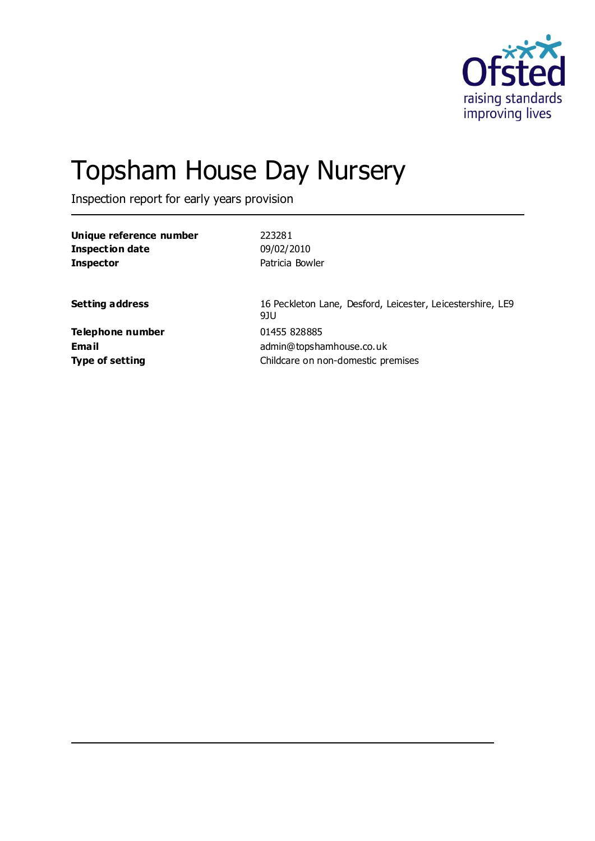

# Topsham House Day Nursery

Inspection report for early years provision

| Unique reference number | 223281                                                            |
|-------------------------|-------------------------------------------------------------------|
| <b>Inspection date</b>  | 09/02/2010                                                        |
| <b>Inspector</b>        | Patricia Bowler                                                   |
| <b>Setting address</b>  | 16 Peckleton Lane, Desford, Leicester, Leicestershire, LE9<br>9JU |
| Telephone number        | 01455 828885                                                      |
| Email                   | admin@topshamhouse.co.uk                                          |
| <b>Type of setting</b>  | Childcare on non-domestic premises                                |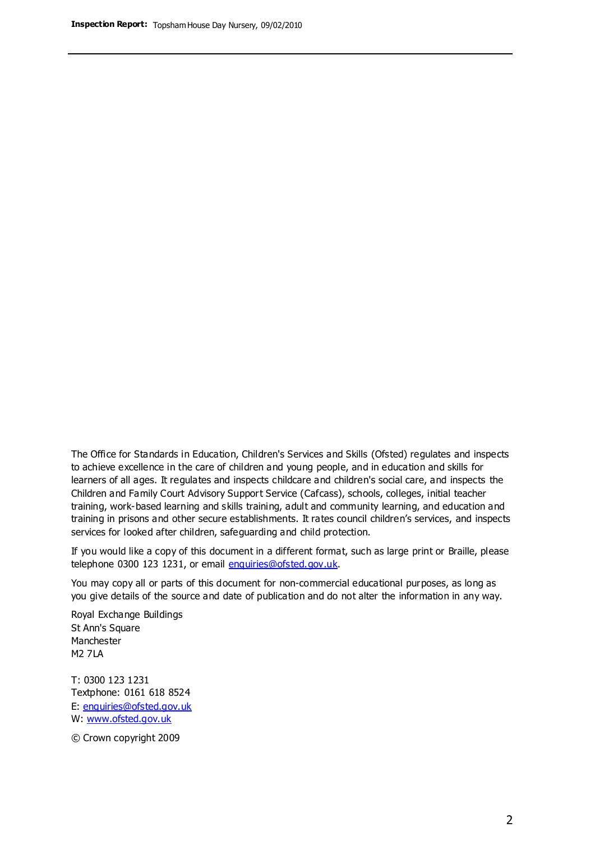The Office for Standards in Education, Children's Services and Skills (Ofsted) regulates and inspects to achieve excellence in the care of children and young people, and in education and skills for learners of all ages. It regulates and inspects childcare and children's social care, and inspects the Children and Family Court Advisory Support Service (Cafcass), schools, colleges, initial teacher training, work-based learning and skills training, adult and community learning, and education and training in prisons and other secure establishments. It rates council children's services, and inspects services for looked after children, safeguarding and child protection.

If you would like a copy of this document in a different format, such as large print or Braille, please telephone 0300 123 1231, or email enquiries@ofsted.gov.uk.

You may copy all or parts of this document for non-commercial educational purposes, as long as you give details of the source and date of publication and do not alter the information in any way.

Royal Exchange Buildings St Ann's Square Manchester M2 7LA

T: 0300 123 1231 Textphone: 0161 618 8524 E: enquiries@ofsted.gov.uk W: [www.ofsted.gov.uk](http://www.ofsted.gov.uk/)

© Crown copyright 2009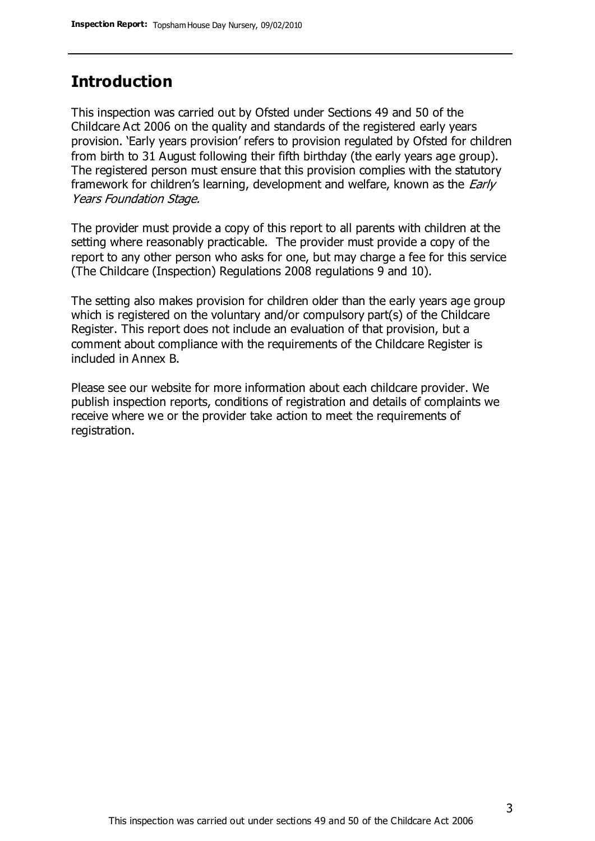### **Introduction**

This inspection was carried out by Ofsted under Sections 49 and 50 of the Childcare Act 2006 on the quality and standards of the registered early years provision. 'Early years provision' refers to provision regulated by Ofsted for children from birth to 31 August following their fifth birthday (the early years age group). The registered person must ensure that this provision complies with the statutory framework for children's learning, development and welfare, known as the *Early* Years Foundation Stage.

The provider must provide a copy of this report to all parents with children at the setting where reasonably practicable. The provider must provide a copy of the report to any other person who asks for one, but may charge a fee for this service (The Childcare (Inspection) Regulations 2008 regulations 9 and 10).

The setting also makes provision for children older than the early years age group which is registered on the voluntary and/or compulsory part(s) of the Childcare Register. This report does not include an evaluation of that provision, but a comment about compliance with the requirements of the Childcare Register is included in Annex B.

Please see our website for more information about each childcare provider. We publish inspection reports, conditions of registration and details of complaints we receive where we or the provider take action to meet the requirements of registration.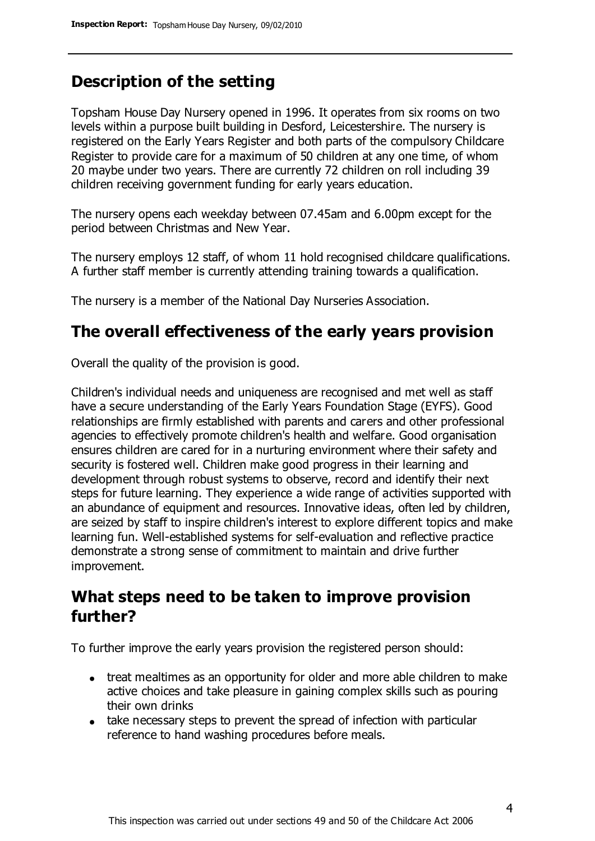### **Description of the setting**

Topsham House Day Nursery opened in 1996. It operates from six rooms on two levels within a purpose built building in Desford, Leicestershire. The nursery is registered on the Early Years Register and both parts of the compulsory Childcare Register to provide care for a maximum of 50 children at any one time, of whom 20 maybe under two years. There are currently 72 children on roll including 39 children receiving government funding for early years education.

The nursery opens each weekday between 07.45am and 6.00pm except for the period between Christmas and New Year.

The nursery employs 12 staff, of whom 11 hold recognised childcare qualifications. A further staff member is currently attending training towards a qualification.

The nursery is a member of the National Day Nurseries Association.

### **The overall effectiveness of the early years provision**

Overall the quality of the provision is good.

Children's individual needs and uniqueness are recognised and met well as staff have a secure understanding of the Early Years Foundation Stage (EYFS). Good relationships are firmly established with parents and carers and other professional agencies to effectively promote children's health and welfare. Good organisation ensures children are cared for in a nurturing environment where their safety and security is fostered well. Children make good progress in their learning and development through robust systems to observe, record and identify their next steps for future learning. They experience a wide range of activities supported with an abundance of equipment and resources. Innovative ideas, often led by children, are seized by staff to inspire children's interest to explore different topics and make learning fun. Well-established systems for self-evaluation and reflective practice demonstrate a strong sense of commitment to maintain and drive further improvement.

### **What steps need to be taken to improve provision further?**

To further improve the early years provision the registered person should:

- treat mealtimes as an opportunity for older and more able children to make active choices and take pleasure in gaining complex skills such as pouring their own drinks
- take necessary steps to prevent the spread of infection with particular reference to hand washing procedures before meals.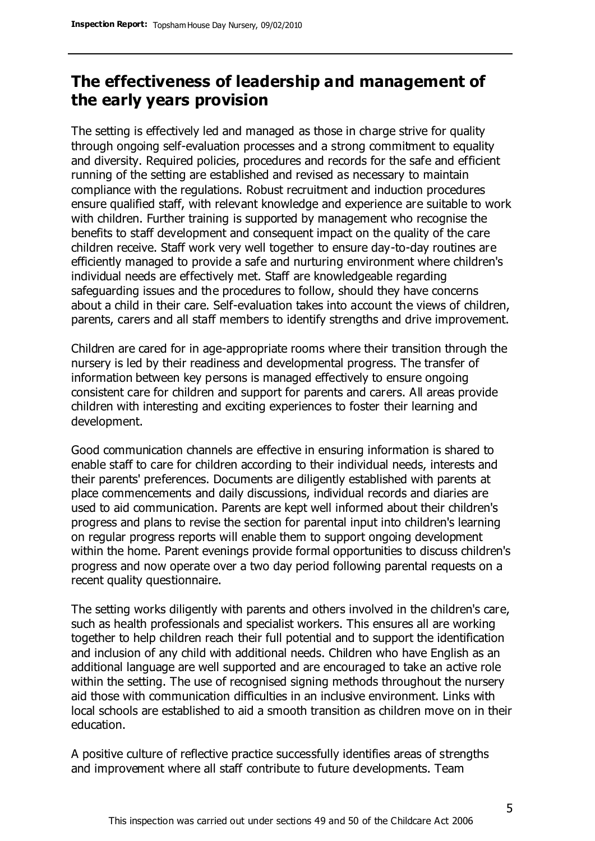### **The effectiveness of leadership and management of the early years provision**

The setting is effectively led and managed as those in charge strive for quality through ongoing self-evaluation processes and a strong commitment to equality and diversity. Required policies, procedures and records for the safe and efficient running of the setting are established and revised as necessary to maintain compliance with the regulations. Robust recruitment and induction procedures ensure qualified staff, with relevant knowledge and experience are suitable to work with children. Further training is supported by management who recognise the benefits to staff development and consequent impact on the quality of the care children receive. Staff work very well together to ensure day-to-day routines are efficiently managed to provide a safe and nurturing environment where children's individual needs are effectively met. Staff are knowledgeable regarding safeguarding issues and the procedures to follow, should they have concerns about a child in their care. Self-evaluation takes into account the views of children, parents, carers and all staff members to identify strengths and drive improvement.

Children are cared for in age-appropriate rooms where their transition through the nursery is led by their readiness and developmental progress. The transfer of information between key persons is managed effectively to ensure ongoing consistent care for children and support for parents and carers. All areas provide children with interesting and exciting experiences to foster their learning and development.

Good communication channels are effective in ensuring information is shared to enable staff to care for children according to their individual needs, interests and their parents' preferences. Documents are diligently established with parents at place commencements and daily discussions, individual records and diaries are used to aid communication. Parents are kept well informed about their children's progress and plans to revise the section for parental input into children's learning on regular progress reports will enable them to support ongoing development within the home. Parent evenings provide formal opportunities to discuss children's progress and now operate over a two day period following parental requests on a recent quality questionnaire.

The setting works diligently with parents and others involved in the children's care, such as health professionals and specialist workers. This ensures all are working together to help children reach their full potential and to support the identification and inclusion of any child with additional needs. Children who have English as an additional language are well supported and are encouraged to take an active role within the setting. The use of recognised signing methods throughout the nursery aid those with communication difficulties in an inclusive environment. Links with local schools are established to aid a smooth transition as children move on in their education.

A positive culture of reflective practice successfully identifies areas of strengths and improvement where all staff contribute to future developments. Team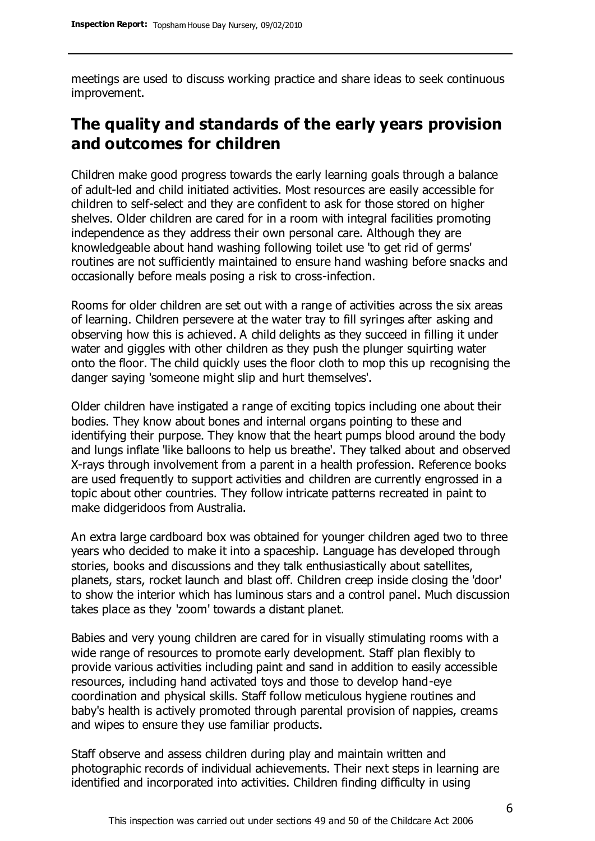meetings are used to discuss working practice and share ideas to seek continuous improvement.

### **The quality and standards of the early years provision and outcomes for children**

Children make good progress towards the early learning goals through a balance of adult-led and child initiated activities. Most resources are easily accessible for children to self-select and they are confident to ask for those stored on higher shelves. Older children are cared for in a room with integral facilities promoting independence as they address their own personal care. Although they are knowledgeable about hand washing following toilet use 'to get rid of germs' routines are not sufficiently maintained to ensure hand washing before snacks and occasionally before meals posing a risk to cross-infection.

Rooms for older children are set out with a range of activities across the six areas of learning. Children persevere at the water tray to fill syringes after asking and observing how this is achieved. A child delights as they succeed in filling it under water and giggles with other children as they push the plunger squirting water onto the floor. The child quickly uses the floor cloth to mop this up recognising the danger saying 'someone might slip and hurt themselves'.

Older children have instigated a range of exciting topics including one about their bodies. They know about bones and internal organs pointing to these and identifying their purpose. They know that the heart pumps blood around the body and lungs inflate 'like balloons to help us breathe'. They talked about and observed X-rays through involvement from a parent in a health profession. Reference books are used frequently to support activities and children are currently engrossed in a topic about other countries. They follow intricate patterns recreated in paint to make didgeridoos from Australia.

An extra large cardboard box was obtained for younger children aged two to three years who decided to make it into a spaceship. Language has developed through stories, books and discussions and they talk enthusiastically about satellites, planets, stars, rocket launch and blast off. Children creep inside closing the 'door' to show the interior which has luminous stars and a control panel. Much discussion takes place as they 'zoom' towards a distant planet.

Babies and very young children are cared for in visually stimulating rooms with a wide range of resources to promote early development. Staff plan flexibly to provide various activities including paint and sand in addition to easily accessible resources, including hand activated toys and those to develop hand-eye coordination and physical skills. Staff follow meticulous hygiene routines and baby's health is actively promoted through parental provision of nappies, creams and wipes to ensure they use familiar products.

Staff observe and assess children during play and maintain written and photographic records of individual achievements. Their next steps in learning are identified and incorporated into activities. Children finding difficulty in using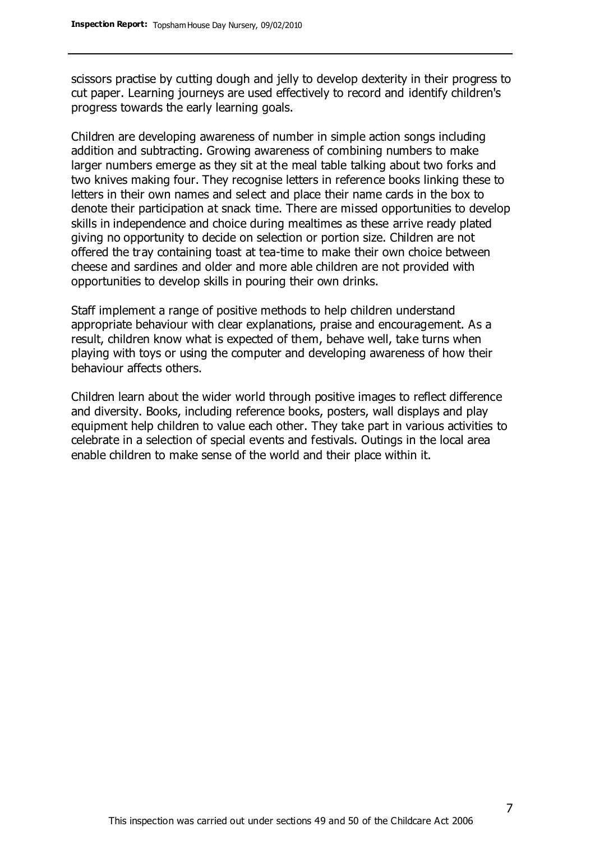scissors practise by cutting dough and jelly to develop dexterity in their progress to cut paper. Learning journeys are used effectively to record and identify children's progress towards the early learning goals.

Children are developing awareness of number in simple action songs including addition and subtracting. Growing awareness of combining numbers to make larger numbers emerge as they sit at the meal table talking about two forks and two knives making four. They recognise letters in reference books linking these to letters in their own names and select and place their name cards in the box to denote their participation at snack time. There are missed opportunities to develop skills in independence and choice during mealtimes as these arrive ready plated giving no opportunity to decide on selection or portion size. Children are not offered the tray containing toast at tea-time to make their own choice between cheese and sardines and older and more able children are not provided with opportunities to develop skills in pouring their own drinks.

Staff implement a range of positive methods to help children understand appropriate behaviour with clear explanations, praise and encouragement. As a result, children know what is expected of them, behave well, take turns when playing with toys or using the computer and developing awareness of how their behaviour affects others.

Children learn about the wider world through positive images to reflect difference and diversity. Books, including reference books, posters, wall displays and play equipment help children to value each other. They take part in various activities to celebrate in a selection of special events and festivals. Outings in the local area enable children to make sense of the world and their place within it.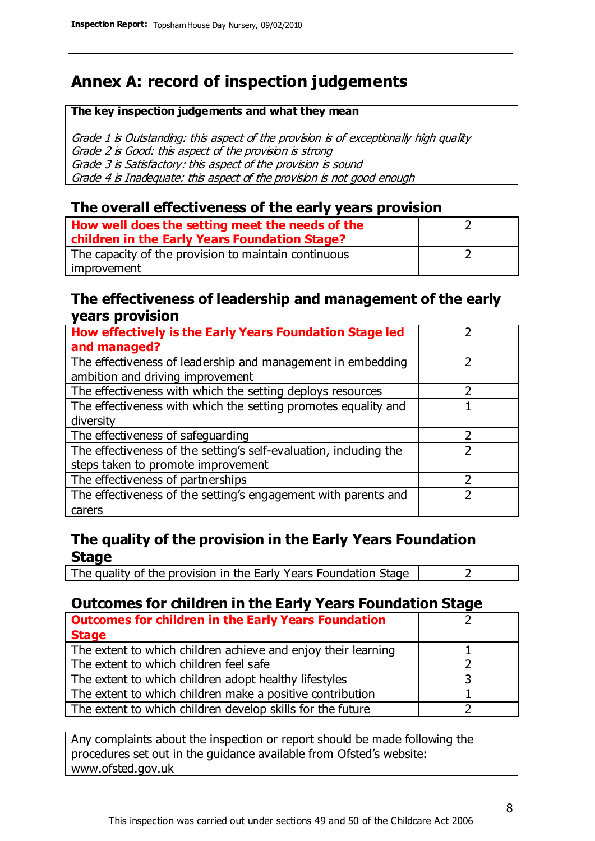### **Annex A: record of inspection judgements**

#### **The key inspection judgements and what they mean**

Grade 1 is Outstanding: this aspect of the provision is of exceptionally high quality Grade 2 is Good: this aspect of the provision is strong Grade 3 is Satisfactory: this aspect of the provision is sound Grade 4 is Inadequate: this aspect of the provision is not good enough

#### **The overall effectiveness of the early years provision**

| How well does the setting meet the needs of the<br>children in the Early Years Foundation Stage? |  |
|--------------------------------------------------------------------------------------------------|--|
| The capacity of the provision to maintain continuous                                             |  |
| improvement                                                                                      |  |

#### **The effectiveness of leadership and management of the early years provision**

| How effectively is the Early Years Foundation Stage led                                         |   |
|-------------------------------------------------------------------------------------------------|---|
| and managed?                                                                                    |   |
| The effectiveness of leadership and management in embedding<br>ambition and driving improvement |   |
|                                                                                                 |   |
| The effectiveness with which the setting deploys resources                                      |   |
| The effectiveness with which the setting promotes equality and                                  |   |
| diversity                                                                                       |   |
| The effectiveness of safeguarding                                                               | 2 |
| The effectiveness of the setting's self-evaluation, including the                               | 2 |
| steps taken to promote improvement                                                              |   |
| The effectiveness of partnerships                                                               |   |
| The effectiveness of the setting's engagement with parents and                                  |   |
| carers                                                                                          |   |

#### **The quality of the provision in the Early Years Foundation Stage**

The quality of the provision in the Early Years Foundation Stage  $\vert$  2

### **Outcomes for children in the Early Years Foundation Stage**

| <b>Outcomes for children in the Early Years Foundation</b>    |  |
|---------------------------------------------------------------|--|
| <b>Stage</b>                                                  |  |
| The extent to which children achieve and enjoy their learning |  |
| The extent to which children feel safe                        |  |
| The extent to which children adopt healthy lifestyles         |  |
| The extent to which children make a positive contribution     |  |
| The extent to which children develop skills for the future    |  |

Any complaints about the inspection or report should be made following the procedures set out in the guidance available from Ofsted's website: www.ofsted.gov.uk